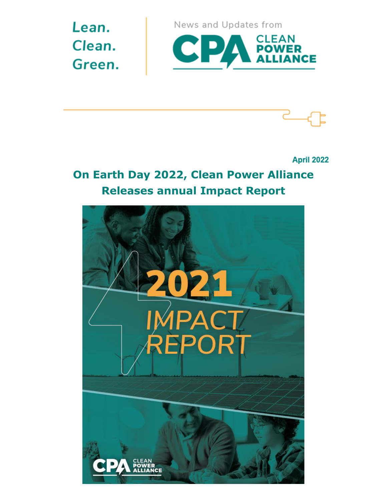Lean. Clean. Green. News and Updates from





**April 2022** 

## **On Earth Day 2022, Clean Power Alliance Releases annual Impact Report**

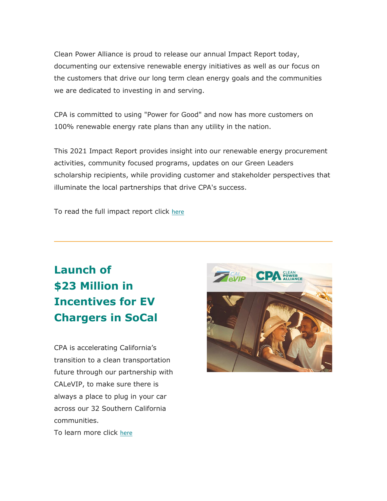Clean Power Alliance is proud to release our annual Impact Report today, documenting our extensive renewable energy initiatives as well as our focus on the customers that drive our long term clean energy goals and the communities we are dedicated to investing in and serving.

CPA is committed to using "Power for Good" and now has more customers on 100% renewable energy rate plans than any utility in the nation.

This 2021 Impact Report provides insight into our renewable energy procurement activities, community focused programs, updates on our Green Leaders scholarship recipients, while providing customer and stakeholder perspectives that illuminate the local partnerships that drive CPA's success.

To read the full impact report click [here](https://cleanpoweralliance.org/wp-content/uploads/2022/04/cpa_2021_impact_report_FINAL_spreads.pdf)

## **Launch of \$23 Million in Incentives for EV Chargers in SoCal**

CPA is accelerating California's transition to a clean transportation future through our partnership with CALeVIP, to make sure there is always a place to plug in your car across our 32 Southern California communities.

To learn more click [here](https://cleanpoweralliance.org/calevip-southern-california/)

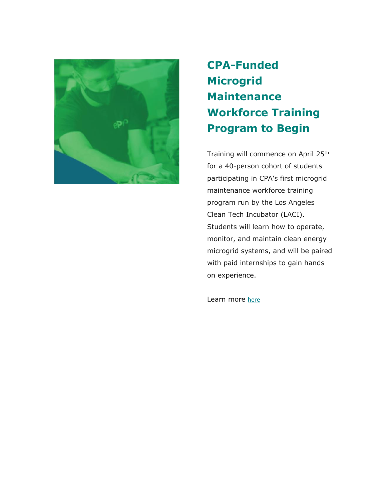

# **CPA-Funded Microgrid Maintenance Workforce Training Program to Begin**

Training will commence on April 25th for a 40-person cohort of students participating in CPA's first microgrid maintenance workforce training program run by the Los Angeles Clean Tech Incubator (LACI). Students will learn how to operate, monitor, and maintain clean energy microgrid systems, and will be paired with paid internships to gain hands on experience.

Learn more [here](https://cleanpoweralliance.org/wp-content/uploads/2022/04/LACI-Green-Jobs-Training-OS-4.8.22-Final.pdf)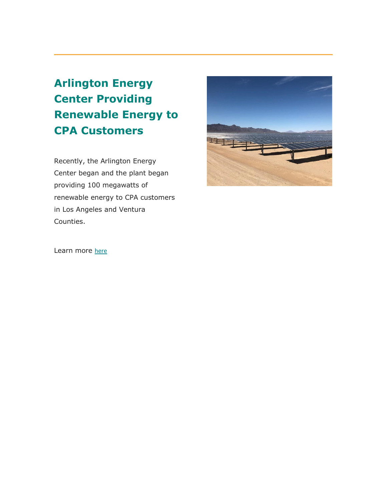**Arlington Energy Center Providing Renewable Energy to CPA Customers**

Recently, the Arlington Energy Center began and the plant began providing 100 megawatts of renewable energy to CPA customers in Los Angeles and Ventura Counties.



Learn more [here](https://cleanpoweralliance.org/arlington-energy-center/)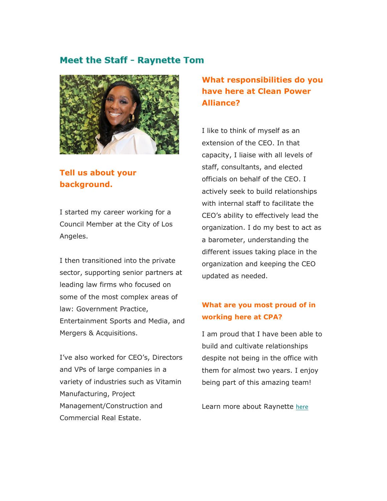#### **Meet the Staff - Raynette Tom**



### **Tell us about your background.**

I started my career working for a Council Member at the City of Los Angeles.

I then transitioned into the private sector, supporting senior partners at leading law firms who focused on some of the most complex areas of law: Government Practice, Entertainment Sports and Media, and Mergers & Acquisitions.

I've also worked for CEO's, Directors and VPs of large companies in a variety of industries such as Vitamin Manufacturing, Project Management/Construction and Commercial Real Estate.

### **What responsibilities do you have here at Clean Power Alliance?**

I like to think of myself as an extension of the CEO. In that capacity, I liaise with all levels of staff, consultants, and elected officials on behalf of the CEO. I actively seek to build relationships with internal staff to facilitate the CEO's ability to effectively lead the organization. I do my best to act as a barometer, understanding the different issues taking place in the organization and keeping the CEO updated as needed.

#### **What are you most proud of in working here at CPA?**

I am proud that I have been able to build and cultivate relationships despite not being in the office with them for almost two years. I enjoy being part of this amazing team!

Learn more about Raynette [here](https://cleanpoweralliance.org/employee-spotlight-raynette-tom/)